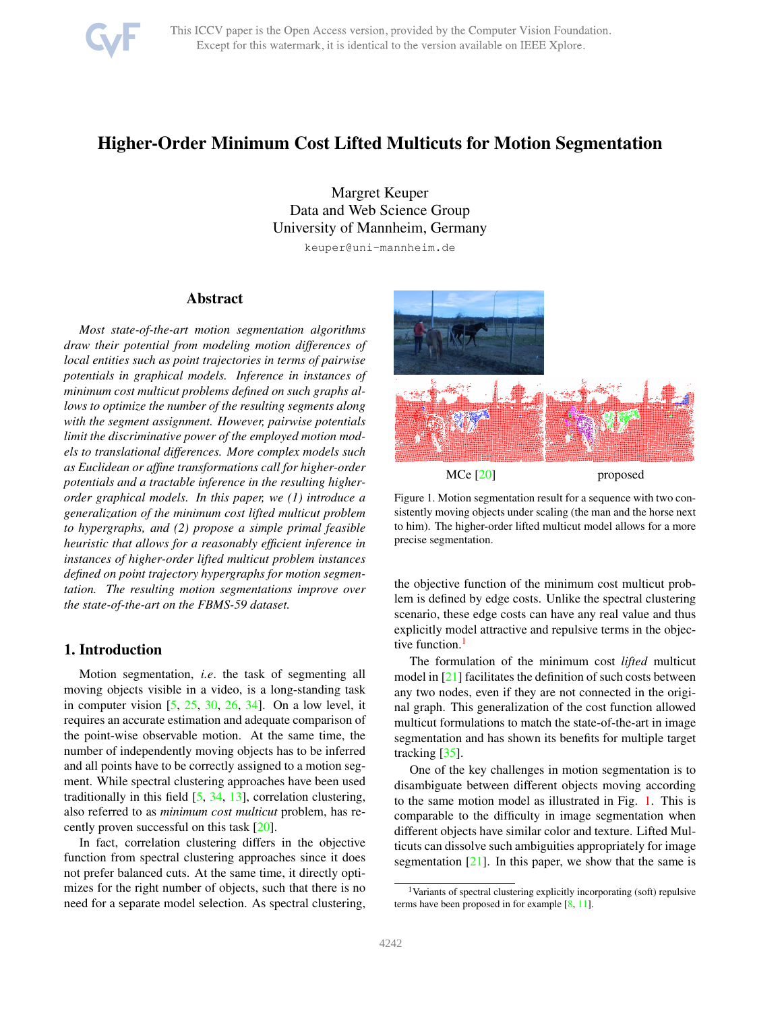

# <span id="page-0-2"></span>Higher-Order Minimum Cost Lifted Multicuts for Motion Segmentation

Margret Keuper Data and Web Science Group University of Mannheim, Germany

keuper@uni-mannheim.de

# Abstract

*Most state-of-the-art motion segmentation algorithms draw their potential from modeling motion differences of local entities such as point trajectories in terms of pairwise potentials in graphical models. Inference in instances of minimum cost multicut problems defined on such graphs allows to optimize the number of the resulting segments along with the segment assignment. However, pairwise potentials limit the discriminative power of the employed motion models to translational differences. More complex models such as Euclidean or affine transformations call for higher-order potentials and a tractable inference in the resulting higherorder graphical models. In this paper, we (1) introduce a generalization of the minimum cost lifted multicut problem to hypergraphs, and (2) propose a simple primal feasible heuristic that allows for a reasonably efficient inference in instances of higher-order lifted multicut problem instances defined on point trajectory hypergraphs for motion segmentation. The resulting motion segmentations improve over the state-of-the-art on the FBMS-59 dataset.*

# 1. Introduction

Motion segmentation, *i.e*. the task of segmenting all moving objects visible in a video, is a long-standing task in computer vision  $[5, 25, 30, 26, 34]$  $[5, 25, 30, 26, 34]$  $[5, 25, 30, 26, 34]$  $[5, 25, 30, 26, 34]$  $[5, 25, 30, 26, 34]$  $[5, 25, 30, 26, 34]$  $[5, 25, 30, 26, 34]$  $[5, 25, 30, 26, 34]$  $[5, 25, 30, 26, 34]$ . On a low level, it requires an accurate estimation and adequate comparison of the point-wise observable motion. At the same time, the number of independently moving objects has to be inferred and all points have to be correctly assigned to a motion segment. While spectral clustering approaches have been used traditionally in this field [\[5,](#page-8-0) [34,](#page-8-4) [13\]](#page-8-5), correlation clustering, also referred to as *minimum cost multicut* problem, has recently proven successful on this task [\[20\]](#page-8-6).

In fact, correlation clustering differs in the objective function from spectral clustering approaches since it does not prefer balanced cuts. At the same time, it directly optimizes for the right number of objects, such that there is no need for a separate model selection. As spectral clustering,



<span id="page-0-1"></span>Figure 1. Motion segmentation result for a sequence with two consistently moving objects under scaling (the man and the horse next to him). The higher-order lifted multicut model allows for a more precise segmentation.

the objective function of the minimum cost multicut problem is defined by edge costs. Unlike the spectral clustering scenario, these edge costs can have any real value and thus explicitly model attractive and repulsive terms in the objec-tive function.<sup>[1](#page-0-0)</sup>

The formulation of the minimum cost *lifted* multicut model in [\[21\]](#page-8-7) facilitates the definition of such costs between any two nodes, even if they are not connected in the original graph. This generalization of the cost function allowed multicut formulations to match the state-of-the-art in image segmentation and has shown its benefits for multiple target tracking [\[35\]](#page-8-8).

One of the key challenges in motion segmentation is to disambiguate between different objects moving according to the same motion model as illustrated in Fig. [1.](#page-0-1) This is comparable to the difficulty in image segmentation when different objects have similar color and texture. Lifted Multicuts can dissolve such ambiguities appropriately for image segmentation  $[21]$ . In this paper, we show that the same is

<span id="page-0-0"></span><sup>1</sup>Variants of spectral clustering explicitly incorporating (soft) repulsive terms have been proposed in for example [\[8,](#page-8-9) [11\]](#page-8-10).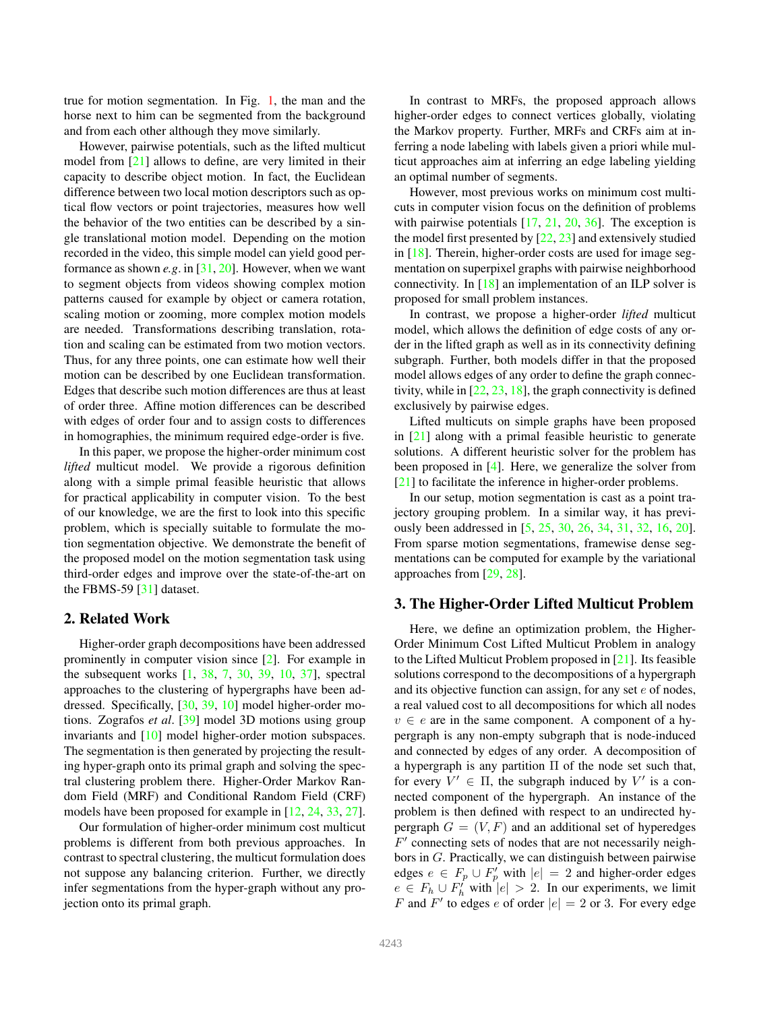<span id="page-1-0"></span>true for motion segmentation. In Fig. [1,](#page-0-1) the man and the horse next to him can be segmented from the background and from each other although they move similarly.

However, pairwise potentials, such as the lifted multicut model from [\[21\]](#page-8-7) allows to define, are very limited in their capacity to describe object motion. In fact, the Euclidean difference between two local motion descriptors such as optical flow vectors or point trajectories, measures how well the behavior of the two entities can be described by a single translational motion model. Depending on the motion recorded in the video, this simple model can yield good performance as shown *e.g*. in [\[31,](#page-8-11) [20\]](#page-8-6). However, when we want to segment objects from videos showing complex motion patterns caused for example by object or camera rotation, scaling motion or zooming, more complex motion models are needed. Transformations describing translation, rotation and scaling can be estimated from two motion vectors. Thus, for any three points, one can estimate how well their motion can be described by one Euclidean transformation. Edges that describe such motion differences are thus at least of order three. Affine motion differences can be described with edges of order four and to assign costs to differences in homographies, the minimum required edge-order is five.

In this paper, we propose the higher-order minimum cost *lifted* multicut model. We provide a rigorous definition along with a simple primal feasible heuristic that allows for practical applicability in computer vision. To the best of our knowledge, we are the first to look into this specific problem, which is specially suitable to formulate the motion segmentation objective. We demonstrate the benefit of the proposed model on the motion segmentation task using third-order edges and improve over the state-of-the-art on the FBMS-59 [\[31\]](#page-8-11) dataset.

# 2. Related Work

Higher-order graph decompositions have been addressed prominently in computer vision since [\[2\]](#page-8-12). For example in the subsequent works [\[1,](#page-8-13) [38,](#page-8-14) [7,](#page-8-15) [30,](#page-8-2) [39,](#page-8-16) [10,](#page-8-17) [37\]](#page-8-18), spectral approaches to the clustering of hypergraphs have been addressed. Specifically, [\[30,](#page-8-2) [39,](#page-8-16) [10\]](#page-8-17) model higher-order motions. Zografos *et al*. [\[39\]](#page-8-16) model 3D motions using group invariants and [\[10\]](#page-8-17) model higher-order motion subspaces. The segmentation is then generated by projecting the resulting hyper-graph onto its primal graph and solving the spectral clustering problem there. Higher-Order Markov Random Field (MRF) and Conditional Random Field (CRF) models have been proposed for example in [\[12,](#page-8-19) [24,](#page-8-20) [33,](#page-8-21) [27\]](#page-8-22).

Our formulation of higher-order minimum cost multicut problems is different from both previous approaches. In contrast to spectral clustering, the multicut formulation does not suppose any balancing criterion. Further, we directly infer segmentations from the hyper-graph without any projection onto its primal graph.

In contrast to MRFs, the proposed approach allows higher-order edges to connect vertices globally, violating the Markov property. Further, MRFs and CRFs aim at inferring a node labeling with labels given a priori while multicut approaches aim at inferring an edge labeling yielding an optimal number of segments.

However, most previous works on minimum cost multicuts in computer vision focus on the definition of problems with pairwise potentials [\[17,](#page-8-23) [21,](#page-8-7) [20,](#page-8-6) [36\]](#page-8-24). The exception is the model first presented by  $[22, 23]$  $[22, 23]$  and extensively studied in [\[18\]](#page-8-27). Therein, higher-order costs are used for image segmentation on superpixel graphs with pairwise neighborhood connectivity. In [\[18\]](#page-8-27) an implementation of an ILP solver is proposed for small problem instances.

In contrast, we propose a higher-order *lifted* multicut model, which allows the definition of edge costs of any order in the lifted graph as well as in its connectivity defining subgraph. Further, both models differ in that the proposed model allows edges of any order to define the graph connectivity, while in  $[22, 23, 18]$  $[22, 23, 18]$  $[22, 23, 18]$  $[22, 23, 18]$  $[22, 23, 18]$ , the graph connectivity is defined exclusively by pairwise edges.

Lifted multicuts on simple graphs have been proposed in [\[21\]](#page-8-7) along with a primal feasible heuristic to generate solutions. A different heuristic solver for the problem has been proposed in [\[4\]](#page-8-28). Here, we generalize the solver from [\[21\]](#page-8-7) to facilitate the inference in higher-order problems.

In our setup, motion segmentation is cast as a point trajectory grouping problem. In a similar way, it has previously been addressed in [\[5,](#page-8-0) [25,](#page-8-1) [30,](#page-8-2) [26,](#page-8-3) [34,](#page-8-4) [31,](#page-8-11) [32,](#page-8-29) [16,](#page-8-30) [20\]](#page-8-6). From sparse motion segmentations, framewise dense segmentations can be computed for example by the variational approaches from [\[29,](#page-8-31) [28\]](#page-8-32).

# 3. The Higher-Order Lifted Multicut Problem

Here, we define an optimization problem, the Higher-Order Minimum Cost Lifted Multicut Problem in analogy to the Lifted Multicut Problem proposed in [\[21\]](#page-8-7). Its feasible solutions correspond to the decompositions of a hypergraph and its objective function can assign, for any set  $e$  of nodes, a real valued cost to all decompositions for which all nodes  $v \in e$  are in the same component. A component of a hypergraph is any non-empty subgraph that is node-induced and connected by edges of any order. A decomposition of a hypergraph is any partition  $\Pi$  of the node set such that, for every  $V' \in \Pi$ , the subgraph induced by V' is a connected component of the hypergraph. An instance of the problem is then defined with respect to an undirected hypergraph  $G = (V, F)$  and an additional set of hyperedges F ′ connecting sets of nodes that are not necessarily neighbors in G. Practically, we can distinguish between pairwise edges  $e \in F_p \cup F'_p$  with  $|e| = 2$  and higher-order edges  $e \in F_h \cup F'_h$  with  $|e| > 2$ . In our experiments, we limit F and F' to edges e of order  $|e| = 2$  or 3. For every edge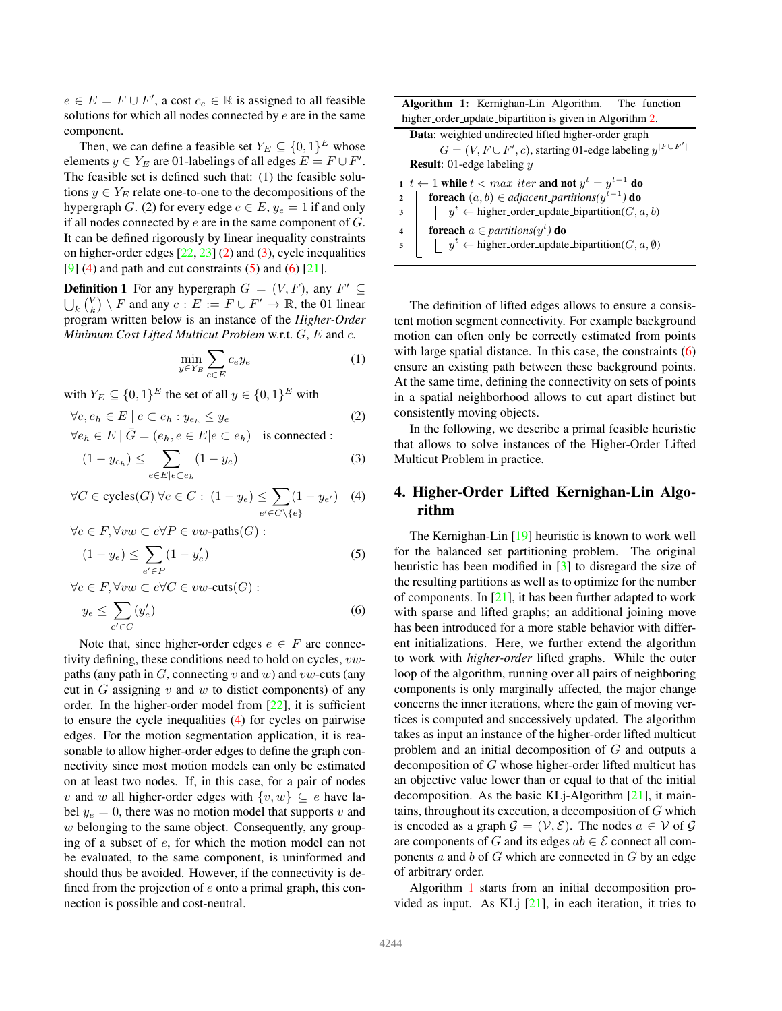<span id="page-2-6"></span> $e \in E = F \cup F'$ , a cost  $c_e \in \mathbb{R}$  is assigned to all feasible solutions for which all nodes connected by  $e$  are in the same component.

Then, we can define a feasible set  $Y_E \subseteq \{0,1\}^E$  whose elements  $y \in Y_E$  are 01-labelings of all edges  $E = F \cup F'$ . The feasible set is defined such that: (1) the feasible solutions  $y \in Y_E$  relate one-to-one to the decompositions of the hypergraph G. (2) for every edge  $e \in E$ ,  $y_e = 1$  if and only if all nodes connected by  $e$  are in the same component of  $G$ . It can be defined rigorously by linear inequality constraints on higher-order edges  $[22, 23]$  $[22, 23]$  $[22, 23]$  [\(2\)](#page-2-0) and [\(3\)](#page-2-1), cycle inequalities  $[9]$  [\(4\)](#page-2-2) and path and cut constraints [\(5\)](#page-2-3) and [\(6\)](#page-2-4)  $[21]$ .

**Definition 1** For any hypergraph  $G = (V, F)$ , any  $F' \subseteq$  $\bigcup_{k} \binom{V}{k} \setminus F$  and any  $c : E := F \cup F' \to \mathbb{R}$ , the 01 linear program written below is an instance of the *Higher-Order Minimum Cost Lifted Multicut Problem* w.r.t. G, E and c.

$$
\min_{y \in Y_E} \sum_{e \in E} c_e y_e \tag{1}
$$

with  $Y_E \subseteq \{0,1\}^E$  the set of all  $y \in \{0,1\}^E$  with

$$
\forall e, e_h \in E \mid e \subset e_h : y_{e_h} \leq y_e
$$
  
\n
$$
\forall e_h \in E \mid \bar{G} = (e_h, e \in E \mid e \subset e_h) \text{ is connected :}
$$
 (2)

$$
(1 - y_{e_h}) \le \sum_{e \in E \mid e \subset e_h} (1 - y_e) \tag{3}
$$

$$
\forall C \in cycles(G) \,\forall e \in C: \,(1 - y_e) \leq \sum_{e' \in C \setminus \{e\}} (1 - y_{e'}) \quad (4)
$$

 $\forall e \in F, \forall vw \subset e \forall P \in vw\text{-paths}(G)$ :

$$
(1 - y_e) \le \sum_{e' \in P} (1 - y'_e) \tag{5}
$$

 $\forall e \in F, \forall vw \subset e \forall C \in vw\text{-cuts}(G) :$ 

$$
y_e \le \sum_{e' \in C} (y'_e) \tag{6}
$$

Note that, since higher-order edges  $e \in F$  are connectivity defining, these conditions need to hold on cycles,  $vw$ paths (any path in  $G$ , connecting v and w) and vw-cuts (any cut in G assigning v and w to distict components) of any order. In the higher-order model from [\[22\]](#page-8-25), it is sufficient to ensure the cycle inequalities [\(4\)](#page-2-2) for cycles on pairwise edges. For the motion segmentation application, it is reasonable to allow higher-order edges to define the graph connectivity since most motion models can only be estimated on at least two nodes. If, in this case, for a pair of nodes v and w all higher-order edges with  $\{v, w\} \subseteq e$  have label  $y_e = 0$ , there was no motion model that supports v and  $w$  belonging to the same object. Consequently, any grouping of a subset of e, for which the motion model can not be evaluated, to the same component, is uninformed and should thus be avoided. However, if the connectivity is defined from the projection of  $e$  onto a primal graph, this connection is possible and cost-neutral.

Algorithm 1: Kernighan-Lin Algorithm. The function higher\_order\_update\_bipartition is given in Algorithm [2.](#page-3-0) Data: weighted undirected lifted higher-order graph  $G = (V, F \cup F', c)$ , starting 01-edge labeling  $y^{|F \cup F'|}$ Result: 01-edge labeling y 1 *t* ← 1 while  $t < max\_iter$  and not  $y^t = y^{t-1}$  do 2  $\int$  foreach  $(a, b) \in adjacent\_partitions(y^{t-1})$  do  $\begin{array}{ccc} 3 & | & | & y^t \leftarrow \text{higher-order\_update\_bipartition}(G, a, b) \end{array}$ 4 **foreach**  $a \in$  *partitions* $(y<sup>t</sup>)$  do  $\mathfrak{s}$   $\vert \quad \vert \quad y^t \leftarrow$  higher\_order\_update\_bipartition( $G, a, \emptyset$ )

<span id="page-2-5"></span>The definition of lifted edges allows to ensure a consistent motion segment connectivity. For example background motion can often only be correctly estimated from points with large spatial distance. In this case, the constraints [\(6\)](#page-2-4) ensure an existing path between these background points. At the same time, defining the connectivity on sets of points in a spatial neighborhood allows to cut apart distinct but consistently moving objects.

<span id="page-2-1"></span><span id="page-2-0"></span>In the following, we describe a primal feasible heuristic that allows to solve instances of the Higher-Order Lifted Multicut Problem in practice.

# <span id="page-2-2"></span>4. Higher-Order Lifted Kernighan-Lin Algorithm

<span id="page-2-4"></span><span id="page-2-3"></span>The Kernighan-Lin [\[19\]](#page-8-34) heuristic is known to work well for the balanced set partitioning problem. The original heuristic has been modified in [\[3\]](#page-8-35) to disregard the size of the resulting partitions as well as to optimize for the number of components. In  $[21]$ , it has been further adapted to work with sparse and lifted graphs; an additional joining move has been introduced for a more stable behavior with different initializations. Here, we further extend the algorithm to work with *higher-order* lifted graphs. While the outer loop of the algorithm, running over all pairs of neighboring components is only marginally affected, the major change concerns the inner iterations, where the gain of moving vertices is computed and successively updated. The algorithm takes as input an instance of the higher-order lifted multicut problem and an initial decomposition of G and outputs a decomposition of G whose higher-order lifted multicut has an objective value lower than or equal to that of the initial decomposition. As the basic KLj-Algorithm [\[21\]](#page-8-7), it maintains, throughout its execution, a decomposition of G which is encoded as a graph  $\mathcal{G} = (\mathcal{V}, \mathcal{E})$ . The nodes  $a \in \mathcal{V}$  of  $\mathcal{G}$ are components of G and its edges  $ab \in \mathcal{E}$  connect all components  $a$  and  $b$  of  $G$  which are connected in  $G$  by an edge of arbitrary order.

Algorithm [1](#page-2-5) starts from an initial decomposition provided as input. As KLj [\[21\]](#page-8-7), in each iteration, it tries to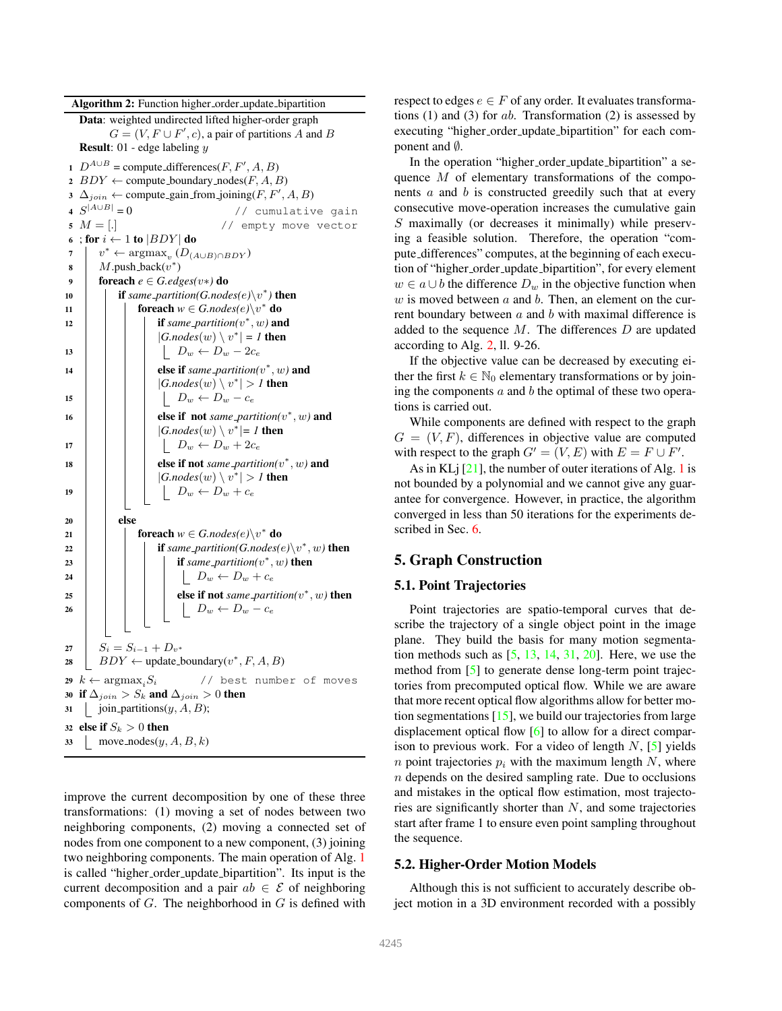<span id="page-3-1"></span>Algorithm 2: Function higher\_order\_update\_bipartition Data: weighted undirected lifted higher-order graph  $G = (V, F \cup F', c)$ , a pair of partitions A and B **Result:** 01 - edge labeling  $y$ 1  $D^{A \cup B}$  = compute differences(*F*, *F'*, *A*, *B*) 2  $BDY \leftarrow$  compute boundary nodes(*F*, *A*, *B*) 3  $\Delta_{join} \leftarrow$  compute\_gain\_from\_joining(*F*, *F'*, *A*, *B*) 4  $S^{|A\cup B|}$ // cumulative gain  $5 M = [.$ 6 ; for  $i \leftarrow 1$  to  $|BDY|$  do  $\tau \mid v^* \leftarrow \argmax_v (D_{(A \cup B) \cap BDY})$ 8  $M$ .push\_back $(v^*)$ 9  $\int$  foreach  $e \in G$ *.edges(v*\*) do 10 **if** same\_partition(G.nodes(e)\v<sup>\*</sup>) then 11 **c**  $\qquad$  for each  $w \in G$ . *nodes*(e) $\vee v^*$  do 12  $\vert$  **if** *same\_partition*( $v^*$ ,  $w$ ) **and**  $|G.nodes(w) \setminus v^*| = I$  then 13  $\vert \vert \vert \vert D_w \leftarrow D_w - 2c_e$ 14  $\vert$  **else if** *same\_partition*( $v^*$ ,  $w$ ) **and**  $|G.nodes(w) \setminus v^*| > 1$  then 15  $\vert \vert \vert \vert D_w \leftarrow D_w - c_e$ 16  $\vert$   $\vert$   $\vert$  **else if not** *same\_partition*( $v^*$ ,  $w$ ) and  $|G.nodes(w) \setminus v^*| = 1$  then 17  $\vert \vert \vert \vert \vert D_w \leftarrow D_w + 2c_e$ 18  $\vert$   $\vert$   $\vert$  **else if not** *same partition*( $v^*$ ,  $w$ ) **and**  $|G.nodes(w) \setminus v^*| > 1$  then 19  $\vert \vert \vert \vert D_w \leftarrow D_w + c_e$  $20$  else 21 **c**  $\bigcup$  **foreach**  $w \in G$ . *nodes*(*e*) $\setminus v^*$  **do** 22 **if** *same\_partition(G.nodes(e)* $\setminus v^*$ , *w)* then 23  $\vert$   $\vert$   $\vert$   $\vert$  **if** same\_partition( $v^*$ , w) then 24 | | | | |  $D_w \leftarrow D_w + c_e$ 25  $\vert$   $\vert$   $\vert$   $\vert$  **else if not** *same\_partition(v\*, w)* then 26  $\vert$   $\vert$   $\vert$   $\vert$   $\vert$   $\vert$   $D_w \leftarrow D_w - c_e$ 27  $S_i = S_{i-1} + D_{v^*}$ 28  $\mid BDY \leftarrow \text{update\_boundary}(v^*, F, A, B)$ 29  $k \leftarrow \text{argmax}_i S_i$  // best number of moves 30 if  $\Delta_{join} > S_k$  and  $\Delta_{join} > 0$  then 31 join partitions $(y, A, B)$ ; 32 else if  $S_k > 0$  then 33 | move\_nodes $(y, A, B, k)$ 

<span id="page-3-0"></span>improve the current decomposition by one of these three transformations: (1) moving a set of nodes between two neighboring components, (2) moving a connected set of nodes from one component to a new component, (3) joining two neighboring components. The main operation of Alg. [1](#page-2-5) is called "higher\_order\_update\_bipartition". Its input is the current decomposition and a pair  $ab \in \mathcal{E}$  of neighboring components of  $G$ . The neighborhood in  $G$  is defined with

respect to edges  $e \in F$  of any order. It evaluates transformations  $(1)$  and  $(3)$  for ab. Transformation  $(2)$  is assessed by executing "higher\_order\_update\_bipartition" for each component and *Ø*.

In the operation "higher order update bipartition" a sequence M of elementary transformations of the components  $\alpha$  and  $\dot{\theta}$  is constructed greedily such that at every consecutive move-operation increases the cumulative gain S maximally (or decreases it minimally) while preserving a feasible solution. Therefore, the operation "compute differences" computes, at the beginning of each execution of "higher order update bipartition", for every element  $w \in a \cup b$  the difference  $D_w$  in the objective function when w is moved between  $a$  and  $b$ . Then, an element on the current boundary between  $a$  and  $b$  with maximal difference is added to the sequence  $M$ . The differences  $D$  are updated according to Alg. [2,](#page-3-0) ll. 9-26.

If the objective value can be decreased by executing either the first  $k \in \mathbb{N}_0$  elementary transformations or by joining the components  $a$  and  $b$  the optimal of these two operations is carried out.

While components are defined with respect to the graph  $G = (V, F)$ , differences in objective value are computed with respect to the graph  $G' = (V, E)$  with  $E = F \cup F'$ .

As in KL $j$  [\[21\]](#page-8-7), the number of outer iterations of Alg. [1](#page-2-5) is not bounded by a polynomial and we cannot give any guarantee for convergence. However, in practice, the algorithm converged in less than 50 iterations for the experiments described in Sec. [6.](#page-5-0)

# 5. Graph Construction

#### 5.1. Point Trajectories

Point trajectories are spatio-temporal curves that describe the trajectory of a single object point in the image plane. They build the basis for many motion segmentation methods such as  $[5, 13, 14, 31, 20]$  $[5, 13, 14, 31, 20]$  $[5, 13, 14, 31, 20]$  $[5, 13, 14, 31, 20]$  $[5, 13, 14, 31, 20]$  $[5, 13, 14, 31, 20]$  $[5, 13, 14, 31, 20]$  $[5, 13, 14, 31, 20]$ . Here, we use the method from [\[5\]](#page-8-0) to generate dense long-term point trajectories from precomputed optical flow. While we are aware that more recent optical flow algorithms allow for better motion segmentations [\[15\]](#page-8-37), we build our trajectories from large displacement optical flow [\[6\]](#page-8-38) to allow for a direct comparison to previous work. For a video of length  $N$ , [\[5\]](#page-8-0) yields *n* point trajectories  $p_i$  with the maximum length N, where  $n$  depends on the desired sampling rate. Due to occlusions and mistakes in the optical flow estimation, most trajectories are significantly shorter than N, and some trajectories start after frame 1 to ensure even point sampling throughout the sequence.

#### 5.2. Higher-Order Motion Models

Although this is not sufficient to accurately describe object motion in a 3D environment recorded with a possibly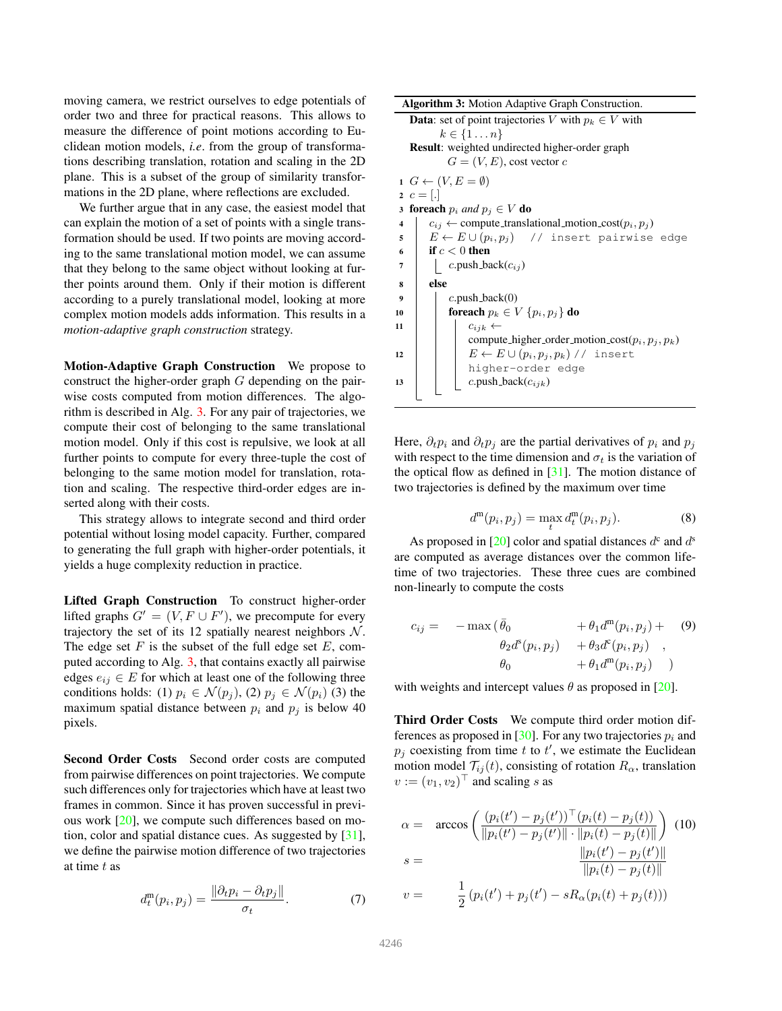<span id="page-4-2"></span>moving camera, we restrict ourselves to edge potentials of order two and three for practical reasons. This allows to measure the difference of point motions according to Euclidean motion models, *i.e*. from the group of transformations describing translation, rotation and scaling in the 2D plane. This is a subset of the group of similarity transformations in the 2D plane, where reflections are excluded.

We further argue that in any case, the easiest model that can explain the motion of a set of points with a single transformation should be used. If two points are moving according to the same translational motion model, we can assume that they belong to the same object without looking at further points around them. Only if their motion is different according to a purely translational model, looking at more complex motion models adds information. This results in a *motion-adaptive graph construction* strategy.

Motion-Adaptive Graph Construction We propose to construct the higher-order graph  $G$  depending on the pairwise costs computed from motion differences. The algorithm is described in Alg. [3.](#page-4-0) For any pair of trajectories, we compute their cost of belonging to the same translational motion model. Only if this cost is repulsive, we look at all further points to compute for every three-tuple the cost of belonging to the same motion model for translation, rotation and scaling. The respective third-order edges are inserted along with their costs.

This strategy allows to integrate second and third order potential without losing model capacity. Further, compared to generating the full graph with higher-order potentials, it yields a huge complexity reduction in practice.

Lifted Graph Construction To construct higher-order lifted graphs  $G' = (V, F \cup F')$ , we precompute for every trajectory the set of its 12 spatially nearest neighbors  $N$ . The edge set  $F$  is the subset of the full edge set  $E$ , computed according to Alg. [3,](#page-4-0) that contains exactly all pairwise edges  $e_{ij} \in E$  for which at least one of the following three conditions holds: (1)  $p_i \in \mathcal{N}(p_j)$ , (2)  $p_j \in \mathcal{N}(p_i)$  (3) the maximum spatial distance between  $p_i$  and  $p_j$  is below 40 pixels.

Second Order Costs Second order costs are computed from pairwise differences on point trajectories. We compute such differences only for trajectories which have at least two frames in common. Since it has proven successful in previous work [\[20\]](#page-8-6), we compute such differences based on motion, color and spatial distance cues. As suggested by [\[31\]](#page-8-11), we define the pairwise motion difference of two trajectories at time  $t$  as

<span id="page-4-1"></span>
$$
d_t^{\mathfrak{m}}(p_i, p_j) = \frac{\|\partial_t p_i - \partial_t p_j\|}{\sigma_t}.
$$
 (7)

Algorithm 3: Motion Adaptive Graph Construction. **Data:** set of point trajectories V with  $p_k \in V$  with  $k \in \{1 \dots n\}$ Result: weighted undirected higher-order graph  $G = (V, E)$ , cost vector c  $1 \ G \leftarrow (V, E = \emptyset)$ 2  $c = [.]$ 3 **foreach**  $p_i$  *and*  $p_j \in V$  **do** 4  $c_{ij} \leftarrow$  compute\_translational\_motion\_cost( $p_i, p_j$ ) 5  $E \leftarrow E \cup (p_i, p_j)$  // insert pairwise edge 6 if  $c < 0$  then 7 |  $c.push\_back(c_{ij})$ <sup>8</sup> else 9  $\vert$  c.push\_back(0) 10 **foreach**  $p_k \in V$   $\{p_i, p_j\}$  do 11  $\vert \vert$   $\vert$   $c_{ijk}$   $\leftarrow$ compute higher order motion  $cost(p_i, p_j, p_k)$ 12  $\vert \vert$   $\vert$   $E \leftarrow E \cup (p_i, p_j, p_k)$  // insert higher-order edge 13 | |  $c.\text{push-back}(c_{ijk})$ 

<span id="page-4-0"></span>Here,  $\partial_t p_i$  and  $\partial_t p_j$  are the partial derivatives of  $p_i$  and  $p_j$ with respect to the time dimension and  $\sigma_t$  is the variation of the optical flow as defined in  $[31]$ . The motion distance of two trajectories is defined by the maximum over time

$$
d^{m}(p_{i}, p_{j}) = \max_{t} d_{t}^{m}(p_{i}, p_{j}).
$$
\n(8)

As proposed in [\[20\]](#page-8-6) color and spatial distances  $d^c$  and  $d^s$ are computed as average distances over the common lifetime of two trajectories. These three cues are combined non-linearly to compute the costs

$$
c_{ij} = -\max(\bar{\theta}_0 + \theta_1 d^{\mathfrak{m}}(p_i, p_j) + (9) \n\theta_2 d^s(p_i, p_j) + \theta_3 d^c(p_i, p_j) ,\n\theta_0 + \theta_1 d^{\mathfrak{m}}(p_i, p_j) )
$$

with weights and intercept values  $\theta$  as proposed in [\[20\]](#page-8-6).

Third Order Costs We compute third order motion dif-ferences as proposed in [\[30\]](#page-8-2). For any two trajectories  $p_i$  and  $p_j$  coexisting from time t to t', we estimate the Euclidean motion model  $\mathcal{T}_{i,j}(t)$ , consisting of rotation  $R_{\alpha}$ , translation  $v := (v_1, v_2)^\top$  and scaling s as

$$
\alpha = \arccos\left(\frac{(p_i(t') - p_j(t'))^\top (p_i(t) - p_j(t))}{\|p_i(t') - p_j(t')\| \cdot \|p_i(t) - p_j(t)\|}\right) (10)
$$

$$
s = \frac{\|p_i(t') - p_j(t')\|}{\|p_i(t) - p_j(t)\|}
$$

$$
v = \frac{1}{2} (p_i(t') + p_j(t') - sR_\alpha(p_i(t) + p_j(t)))
$$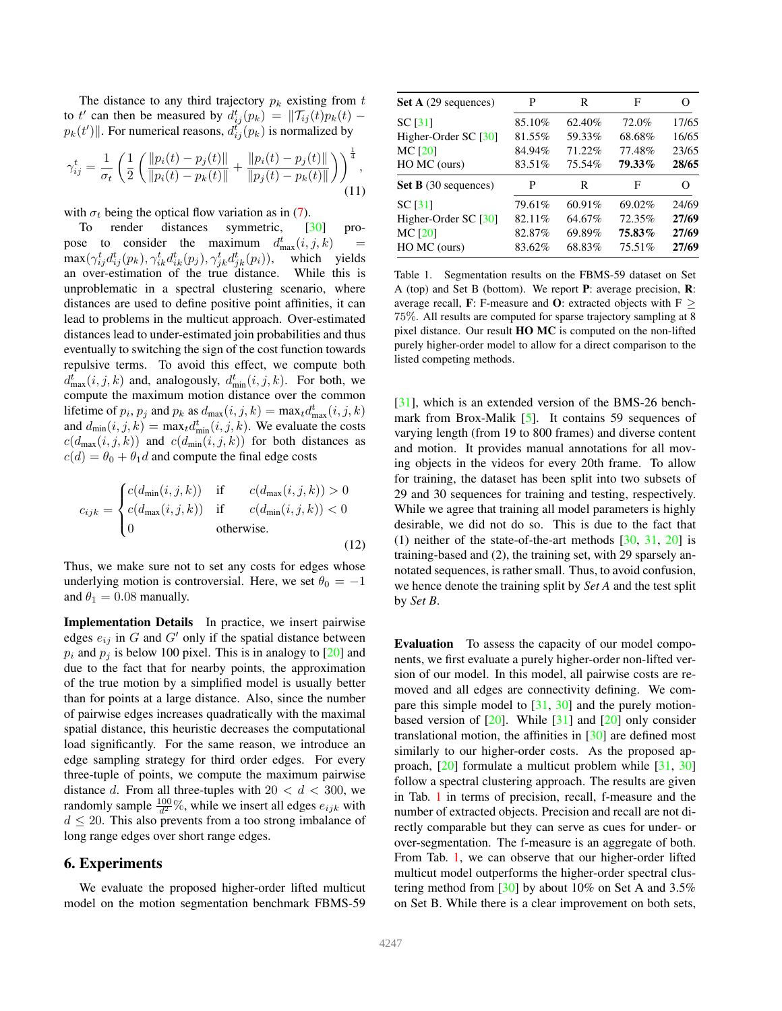<span id="page-5-3"></span>The distance to any third trajectory  $p_k$  existing from t to t' can then be measured by  $d_{ij}^t(p_k) = ||\mathcal{T}_{ij}(t)p_k(t)$  $p_k(t')$ ||. For numerical reasons,  $d_{ij}^{t'}(p_k)$  is normalized by

$$
\gamma_{ij}^t = \frac{1}{\sigma_t} \left( \frac{1}{2} \left( \frac{\|p_i(t) - p_j(t)\|}{\|p_i(t) - p_k(t)\|} + \frac{\|p_i(t) - p_j(t)\|}{\|p_j(t) - p_k(t)\|} \right) \right)^{\frac{1}{4}},
$$
\n(11)

with  $\sigma_t$  being the optical flow variation as in [\(7\)](#page-4-1).

To render distances symmetric, [\[30\]](#page-8-2) propose to consider the maximum  $d_{\text{max}}^t(i, j, k)$  =  $\max(\gamma^t_{ij}d^t_{ij}(p_k), \gamma^t_{ik}d^t_{ik}(p_j), \gamma^t_{jk}d^t_j)$ which yields<br>While this is an over-estimation of the true distance. unproblematic in a spectral clustering scenario, where distances are used to define positive point affinities, it can lead to problems in the multicut approach. Over-estimated distances lead to under-estimated join probabilities and thus eventually to switching the sign of the cost function towards repulsive terms. To avoid this effect, we compute both  $d_{\max}^t(i, j, k)$  and, analogously,  $d_{\min}^t(i, j, k)$ . For both, we compute the maximum motion distance over the common lifetime of  $p_i$ ,  $p_j$  and  $p_k$  as  $d_{\text{max}}(i, j, k) = \max_t d_{\text{max}}^t(i, j, k)$ and  $d_{\min}(i, j, k) = \max_t d_{\min}^t(i, j, k)$ . We evaluate the costs  $c(d_{\text{max}}(i, j, k))$  and  $c(d_{\text{min}}(i, j, k))$  for both distances as  $c(d) = \theta_0 + \theta_1 d$  and compute the final edge costs

$$
c_{ijk} = \begin{cases} c(d_{\min}(i,j,k)) & \text{if} & c(d_{\max}(i,j,k)) > 0\\ c(d_{\max}(i,j,k)) & \text{if} & c(d_{\min}(i,j,k)) < 0\\ 0 & \text{otherwise.} \end{cases}
$$
(12)

Thus, we make sure not to set any costs for edges whose underlying motion is controversial. Here, we set  $\theta_0 = -1$ and  $\theta_1 = 0.08$  manually.

Implementation Details In practice, we insert pairwise edges  $e_{ij}$  in G and G' only if the spatial distance between  $p_i$  and  $p_j$  is below 100 pixel. This is in analogy to [\[20\]](#page-8-6) and due to the fact that for nearby points, the approximation of the true motion by a simplified model is usually better than for points at a large distance. Also, since the number of pairwise edges increases quadratically with the maximal spatial distance, this heuristic decreases the computational load significantly. For the same reason, we introduce an edge sampling strategy for third order edges. For every three-tuple of points, we compute the maximum pairwise distance d. From all three-tuples with  $20 < d < 300$ , we randomly sample  $\frac{100}{d^2}$ %, while we insert all edges  $e_{ijk}$  with  $d \leq 20$ . This also prevents from a too strong imbalance of long range edges over short range edges.

### <span id="page-5-0"></span>6. Experiments

We evaluate the proposed higher-order lifted multicut model on the motion segmentation benchmark FBMS-59

| <b>Set A</b> (29 sequences) | P      | R      | F      |                   |
|-----------------------------|--------|--------|--------|-------------------|
| <b>SC</b> [31]              | 85.10% | 62.40% | 72.0%  | 17/65             |
| Higher-Order SC [30]        | 81.55% | 59.33% | 68.68% | 16/65             |
| <b>MC [20]</b>              | 84.94% | 71.22% | 77.48% | 23/65             |
| HO MC (ours)                | 83.51% | 75.54% | 79.33% | 28/65             |
| <b>Set B</b> (30 sequences) | P      | R      | F      | $\mathbf{\Omega}$ |
| <b>SC</b> [31]              | 79.61% | 60.91% | 69.02% | 24/69             |
| Higher-Order SC [30]        | 82.11% | 64.67% | 72.35% | 27/69             |
| <b>MC [20]</b>              | 82.87% | 69.89% | 75.83% | 27/69             |
| HO MC (ours)                | 83.62% | 68.83% | 75.51% | 27/69             |

<span id="page-5-1"></span>Table 1. Segmentation results on the FBMS-59 dataset on Set A (top) and Set B (bottom). We report P: average precision, R: average recall, F: F-measure and O: extracted objects with F  $\geq$ 75%. All results are computed for sparse trajectory sampling at 8 pixel distance. Our result HO MC is computed on the non-lifted purely higher-order model to allow for a direct comparison to the listed competing methods.

[\[31\]](#page-8-11), which is an extended version of the BMS-26 benchmark from Brox-Malik  $[5]$ . It contains 59 sequences of varying length (from 19 to 800 frames) and diverse content and motion. It provides manual annotations for all moving objects in the videos for every 20th frame. To allow for training, the dataset has been split into two subsets of 29 and 30 sequences for training and testing, respectively. While we agree that training all model parameters is highly desirable, we did not do so. This is due to the fact that (1) neither of the state-of-the-art methods  $[30, 31, 20]$  $[30, 31, 20]$  $[30, 31, 20]$  $[30, 31, 20]$  is training-based and (2), the training set, with 29 sparsely annotated sequences, is rather small. Thus, to avoid confusion, we hence denote the training split by *Set A* and the test split by *Set B*.

<span id="page-5-2"></span>Evaluation To assess the capacity of our model components, we first evaluate a purely higher-order non-lifted version of our model. In this model, all pairwise costs are removed and all edges are connectivity defining. We compare this simple model to  $[31, 30]$  $[31, 30]$  and the purely motionbased version of  $[20]$ . While  $[31]$  and  $[20]$  only consider translational motion, the affinities in [\[30\]](#page-8-2) are defined most similarly to our higher-order costs. As the proposed approach, [\[20\]](#page-8-6) formulate a multicut problem while [\[31,](#page-8-11) [30\]](#page-8-2) follow a spectral clustering approach. The results are given in Tab. [1](#page-5-1) in terms of precision, recall, f-measure and the number of extracted objects. Precision and recall are not directly comparable but they can serve as cues for under- or over-segmentation. The f-measure is an aggregate of both. From Tab. [1,](#page-5-1) we can observe that our higher-order lifted multicut model outperforms the higher-order spectral clustering method from [\[30\]](#page-8-2) by about 10% on Set A and 3.5% on Set B. While there is a clear improvement on both sets,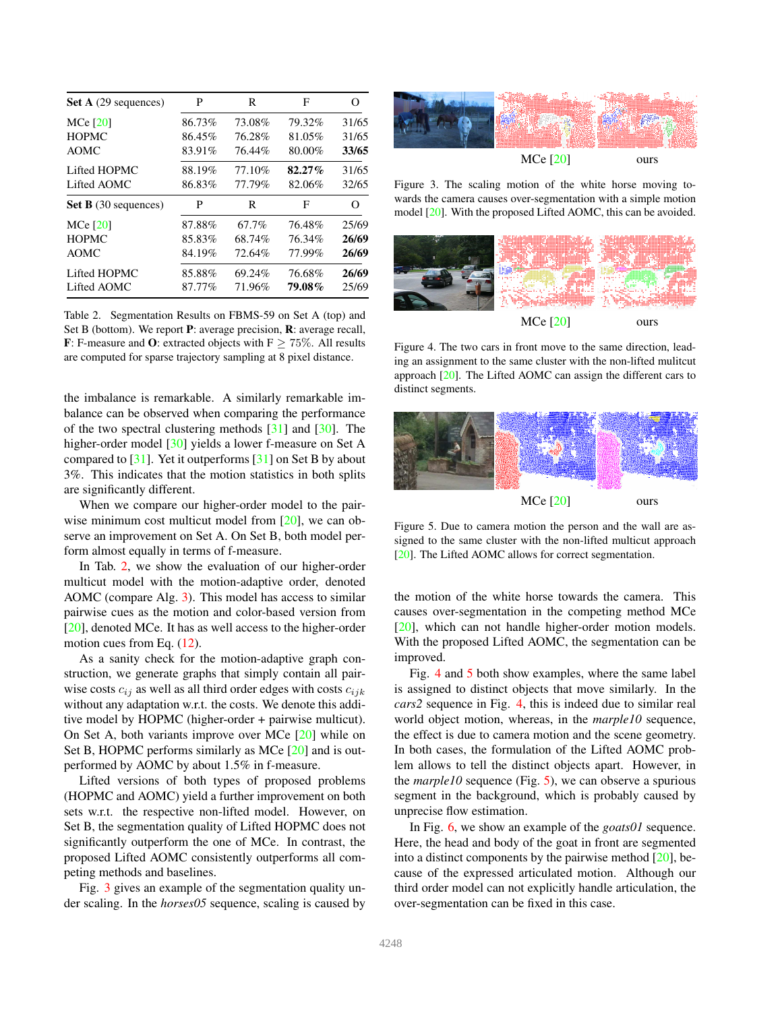<span id="page-6-4"></span>

| Set A (29 sequences)        | P      | R      | F         | $\scriptstyle\rm\scriptstyle{(})$ |
|-----------------------------|--------|--------|-----------|-----------------------------------|
| $MCe$ [20]                  | 86.73% | 73.08% | 79.32%    | 31/65                             |
| <b>HOPMC</b>                | 86.45% | 76.28% | 81.05%    | 31/65                             |
| <b>AOMC</b>                 | 83.91% | 76.44% | 80.00%    | 33/65                             |
| Lifted HOPMC                | 88.19% | 77.10% | $82.27\%$ | 31/65                             |
| Lifted AOMC                 | 86.83% | 77.79% | 82.06%    | 32/65                             |
| <b>Set B</b> (30 sequences) | P      | R      | F         | Ω                                 |
| $MCe$ [20]                  | 87.88% | 67.7%  | 76.48%    | 25/69                             |
| <b>HOPMC</b>                | 85.83% | 68.74% | 76.34%    | 26/69                             |
| <b>AOMC</b>                 | 84.19% | 72.64% | 77.99%    | 26/69                             |
| Lifted HOPMC                | 85.88% | 69.24% | 76.68%    | 26/69                             |
| Lifted AOMC                 | 87.77% | 71.96% | 79.08%    | 25/69                             |

<span id="page-6-0"></span>Table 2. Segmentation Results on FBMS-59 on Set A (top) and Set B (bottom). We report P: average precision, R: average recall, F: F-measure and O: extracted objects with  $F \ge 75\%$ . All results are computed for sparse trajectory sampling at 8 pixel distance.

the imbalance is remarkable. A similarly remarkable imbalance can be observed when comparing the performance of the two spectral clustering methods [\[31\]](#page-8-11) and [\[30\]](#page-8-2). The higher-order model [\[30\]](#page-8-2) yields a lower f-measure on Set A compared to  $[31]$ . Yet it outperforms  $[31]$  on Set B by about 3%. This indicates that the motion statistics in both splits are significantly different.

When we compare our higher-order model to the pair-wise minimum cost multicut model from [\[20\]](#page-8-6), we can observe an improvement on Set A. On Set B, both model perform almost equally in terms of f-measure.

In Tab. [2,](#page-6-0) we show the evaluation of our higher-order multicut model with the motion-adaptive order, denoted AOMC (compare Alg. [3\)](#page-4-0). This model has access to similar pairwise cues as the motion and color-based version from [\[20\]](#page-8-6), denoted MCe. It has as well access to the higher-order motion cues from Eq.  $(12)$ .

As a sanity check for the motion-adaptive graph construction, we generate graphs that simply contain all pairwise costs  $c_{ij}$  as well as all third order edges with costs  $c_{ijk}$ without any adaptation w.r.t. the costs. We denote this additive model by HOPMC (higher-order + pairwise multicut). On Set A, both variants improve over MCe [\[20\]](#page-8-6) while on Set B, HOPMC performs similarly as MCe [\[20\]](#page-8-6) and is outperformed by AOMC by about 1.5% in f-measure.

Lifted versions of both types of proposed problems (HOPMC and AOMC) yield a further improvement on both sets w.r.t. the respective non-lifted model. However, on Set B, the segmentation quality of Lifted HOPMC does not significantly outperform the one of MCe. In contrast, the proposed Lifted AOMC consistently outperforms all competing methods and baselines.

Fig. [3](#page-6-1) gives an example of the segmentation quality under scaling. In the *horses05* sequence, scaling is caused by



<span id="page-6-1"></span>Figure 3. The scaling motion of the white horse moving towards the camera causes over-segmentation with a simple motion model [\[20\]](#page-8-6). With the proposed Lifted AOMC, this can be avoided.



<span id="page-6-2"></span>Figure 4. The two cars in front move to the same direction, leading an assignment to the same cluster with the non-lifted mulitcut approach [\[20\]](#page-8-6). The Lifted AOMC can assign the different cars to distinct segments.



<span id="page-6-3"></span>Figure 5. Due to camera motion the person and the wall are assigned to the same cluster with the non-lifted multicut approach [\[20\]](#page-8-6). The Lifted AOMC allows for correct segmentation.

the motion of the white horse towards the camera. This causes over-segmentation in the competing method MCe [\[20\]](#page-8-6), which can not handle higher-order motion models. With the proposed Lifted AOMC, the segmentation can be improved.

Fig. [4](#page-6-2) and [5](#page-6-3) both show examples, where the same label is assigned to distinct objects that move similarly. In the *cars2* sequence in Fig. [4,](#page-6-2) this is indeed due to similar real world object motion, whereas, in the *marple10* sequence, the effect is due to camera motion and the scene geometry. In both cases, the formulation of the Lifted AOMC problem allows to tell the distinct objects apart. However, in the *marple10* sequence (Fig. [5\)](#page-6-3), we can observe a spurious segment in the background, which is probably caused by unprecise flow estimation.

In Fig. [6,](#page-7-0) we show an example of the *goats01* sequence. Here, the head and body of the goat in front are segmented into a distinct components by the pairwise method  $[20]$ , because of the expressed articulated motion. Although our third order model can not explicitly handle articulation, the over-segmentation can be fixed in this case.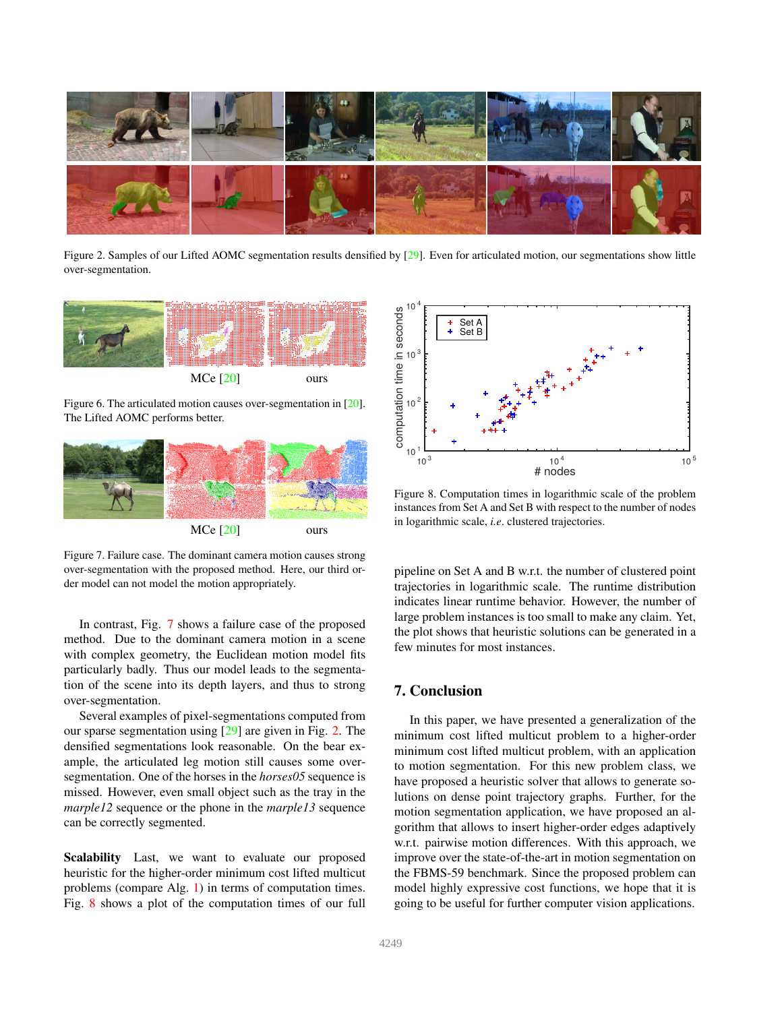<span id="page-7-4"></span>

Figure 2. Samples of our Lifted AOMC segmentation results densified by [\[29\]](#page-8-31). Even for articulated motion, our segmentations show little over-segmentation.

<span id="page-7-2"></span>

<span id="page-7-0"></span>Figure 6. The articulated motion causes over-segmentation in [\[20\]](#page-8-6). The Lifted AOMC performs better.



<span id="page-7-1"></span>Figure 7. Failure case. The dominant camera motion causes strong over-segmentation with the proposed method. Here, our third order model can not model the motion appropriately.

In contrast, Fig. [7](#page-7-1) shows a failure case of the proposed method. Due to the dominant camera motion in a scene with complex geometry, the Euclidean motion model fits particularly badly. Thus our model leads to the segmentation of the scene into its depth layers, and thus to strong over-segmentation.

Several examples of pixel-segmentations computed from our sparse segmentation using [\[29\]](#page-8-31) are given in Fig. [2.](#page-7-2) The densified segmentations look reasonable. On the bear example, the articulated leg motion still causes some oversegmentation. One of the horses in the *horses05* sequence is missed. However, even small object such as the tray in the *marple12* sequence or the phone in the *marple13* sequence can be correctly segmented.

Scalability Last, we want to evaluate our proposed heuristic for the higher-order minimum cost lifted multicut problems (compare Alg. [1\)](#page-2-5) in terms of computation times. Fig. [8](#page-7-3) shows a plot of the computation times of our full



<span id="page-7-3"></span>Figure 8. Computation times in logarithmic scale of the problem instances from Set A and Set B with respect to the number of nodes in logarithmic scale, *i.e*. clustered trajectories.

pipeline on Set A and B w.r.t. the number of clustered point trajectories in logarithmic scale. The runtime distribution indicates linear runtime behavior. However, the number of large problem instances is too small to make any claim. Yet, the plot shows that heuristic solutions can be generated in a few minutes for most instances.

### 7. Conclusion

In this paper, we have presented a generalization of the minimum cost lifted multicut problem to a higher-order minimum cost lifted multicut problem, with an application to motion segmentation. For this new problem class, we have proposed a heuristic solver that allows to generate solutions on dense point trajectory graphs. Further, for the motion segmentation application, we have proposed an algorithm that allows to insert higher-order edges adaptively w.r.t. pairwise motion differences. With this approach, we improve over the state-of-the-art in motion segmentation on the FBMS-59 benchmark. Since the proposed problem can model highly expressive cost functions, we hope that it is going to be useful for further computer vision applications.